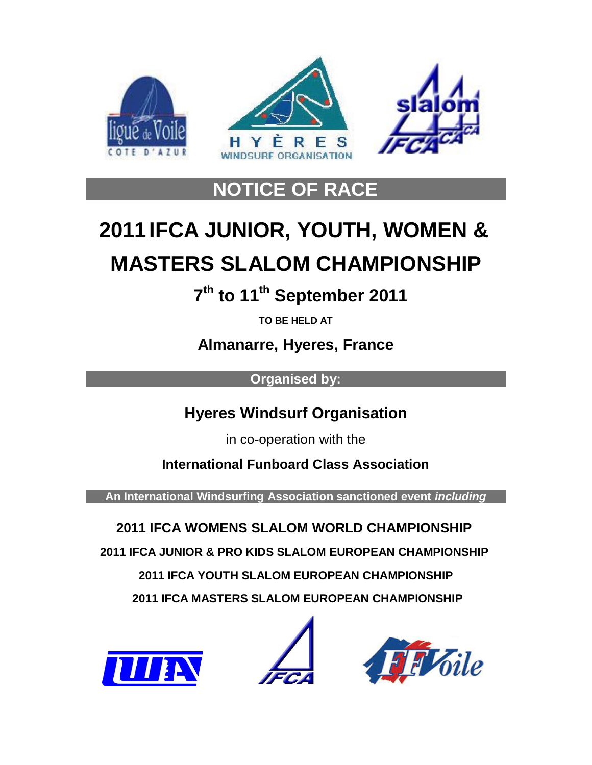

# **NOTICE OF RACE**

# **2011 IFCA JUNIOR, YOUTH, WOMEN & MASTERS SLALOM CHAMPIONSHIP**

 **7 th to 11th September 2011**

**TO BE HELD AT**

**Almanarre, Hyeres, France**

**Organised by:**

**Hyeres Windsurf Organisation**

in co-operation with the

**International Funboard Class Association**

**An International Windsurfing Association sanctioned event** *including*

 **2011 IFCA WOMENS SLALOM WORLD CHAMPIONSHIP**

 **2011 IFCA JUNIOR & PRO KIDS SLALOM EUROPEAN CHAMPIONSHIP**

 **2011 IFCA YOUTH SLALOM EUROPEAN CHAMPIONSHIP**

 **2011 IFCA MASTERS SLALOM EUROPEAN CHAMPIONSHIP**





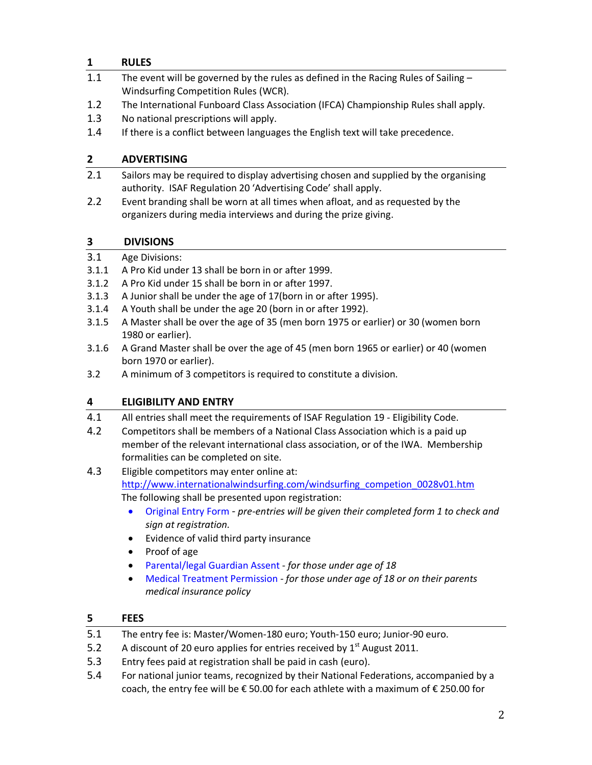# **1 RULES**

- 1.1 The event will be governed by the rules as defined in the Racing Rules of Sailing -Windsurfing Competition Rules (WCR).
- 1.2 The International Funboard Class Association (IFCA) Championship Rules shall apply.
- 1.3 No national prescriptions will apply.
- 1.4 If there is a conflict between languages the English text will take precedence.

# **2 ADVERTISING**

- 2.1 Sailors may be required to display advertising chosen and supplied by the organising authority. ISAF Regulation 20 'Advertising Code' shall apply.
- 2.2 Event branding shall be worn at all times when afloat, and as requested by the organizers during media interviews and during the prize giving.

# **3 DIVISIONS**

- 3.1 Age Divisions:
- 3.1.1 A Pro Kid under 13 shall be born in or after 1999.
- 3.1.2 A Pro Kid under 15 shall be born in or after 1997.
- 3.1.3 A Junior shall be under the age of 17(born in or after 1995).
- 3.1.4 A Youth shall be under the age 20 (born in or after 1992).
- 3.1.5 A Master shall be over the age of 35 (men born 1975 or earlier) or 30 (women born 1980 or earlier).
- 3.1.6 A Grand Master shall be over the age of 45 (men born 1965 or earlier) or 40 (women born 1970 or earlier).
- 3.2 A minimum of 3 competitors is required to constitute a division.

# **4 ELIGIBILITY AND ENTRY**

- 4.1 All entries shall meet the requirements of ISAF Regulation 19 Eligibility Code.
- 4.2 Competitors shall be members of a National Class Association which is a paid up member of the relevant international class association, or of the IWA. Membership formalities can be completed on site.
- 4.3 Eligible competitors may enter online at: [http://www.internationalwindsurfing.com/windsurfing\\_competion\\_0028v01.htm](http://www.internationalwindsurfing.com/windsurfing_competion_0028v01.htm) The following shall be presented upon registration:
	- Original Entry Form *- [pre-entries will be given](http://www.internationalwindsurfing.com/userfiles/documents/2011_IFCA_JYM_Slalom_Europeans_Hyeres_Form_1.pdf) their completed form 1 to check and [sign at registration.](http://www.internationalwindsurfing.com/userfiles/documents/2011_IFCA_JYM_Slalom_Europeans_Hyeres_Form_1.pdf)*
	- Evidence of valid third party insurance
	- Proof of age
	- [Parental/legal Guardian Assent](http://www.internationalwindsurfing.com/userfiles/documents/2011_IFCA_JYM_Slalom_Europeans_Hyeres_Form_2.pdf) *for those under age of 18*
	- [Medical Treatment Permission](http://www.internationalwindsurfing.com/userfiles/documents/2011_IFCA_JYM_Slalom_Europeans_Hyeres_Form_3.pdf) *for those under age of 18 or on their parents medical insurance policy*

# **5 FEES**

- 5.1 The entry fee is: Master/Women-180 euro; Youth-150 euro; Junior-90 euro.
- 5.2 A discount of 20 euro applies for entries received by  $1<sup>st</sup>$  August 2011.
- 5.3 Entry fees paid at registration shall be paid in cash (euro).
- 5.4 For national junior teams, recognized by their National Federations, accompanied by a coach, the entry fee will be  $\epsilon$  50.00 for each athlete with a maximum of  $\epsilon$  250.00 for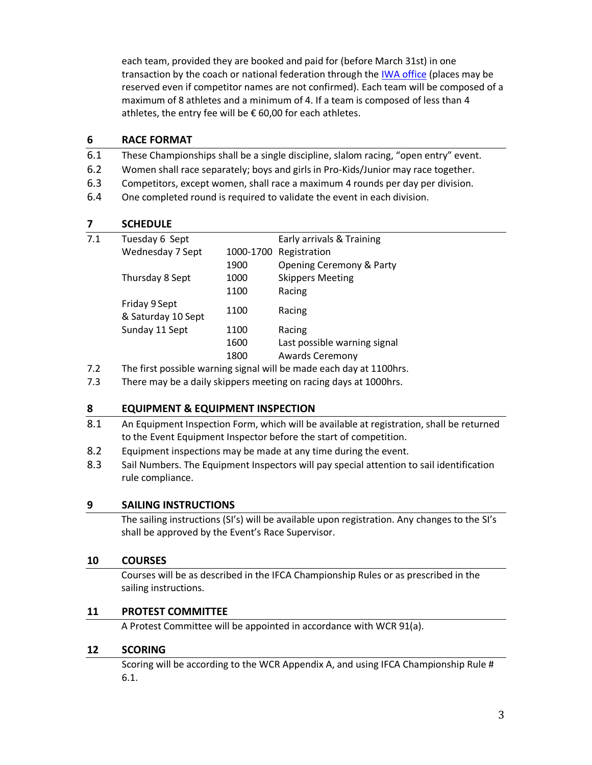each team, provided they are booked and paid for (before March 31st) in one transaction by the coach or national federation through the [IWA office](mailto:iwaoffice@internationalwindsurfing.com) (places may be reserved even if competitor names are not confirmed). Each team will be composed of a maximum of 8 athletes and a minimum of 4. If a team is composed of less than 4 athletes, the entry fee will be € 60,00 for each athletes.

#### **6 RACE FORMAT**

- 6.1 These Championships shall be a single discipline, slalom racing, "open entry" event.
- 6.2 Women shall race separately; boys and girls in Pro-Kids/Junior may race together.
- 6.3 Competitors, except women, shall race a maximum 4 rounds per day per division.
- 6.4 One completed round is required to validate the event in each division.

#### **7 SCHEDULE**

| 7.1 | Tuesday 6 Sept                      |           | Early arrivals & Training    |
|-----|-------------------------------------|-----------|------------------------------|
|     | Wednesday 7 Sept                    | 1000-1700 | Registration                 |
|     |                                     | 1900      | Opening Ceremony & Party     |
|     | Thursday 8 Sept                     | 1000      | <b>Skippers Meeting</b>      |
|     |                                     | 1100      | Racing                       |
|     | Friday 9 Sept<br>& Saturday 10 Sept | 1100      | Racing                       |
|     | Sunday 11 Sept                      | 1100      | Racing                       |
|     |                                     | 1600      | Last possible warning signal |
|     |                                     | 1800      | <b>Awards Ceremony</b>       |
|     |                                     |           |                              |

7.2 The first possible warning signal will be made each day at 1100hrs.

7.3 There may be a daily skippers meeting on racing days at 1000hrs.

# **8 EQUIPMENT & EQUIPMENT INSPECTION**

- 8.1 An Equipment Inspection Form, which will be available at registration, shall be returned to the Event Equipment Inspector before the start of competition.
- 8.2 Equipment inspections may be made at any time during the event.
- 8.3 Sail Numbers. The Equipment Inspectors will pay special attention to sail identification rule compliance.

# **9 SAILING INSTRUCTIONS**

The sailing instructions (SI's) will be available upon registration. Any changes to the SI's shall be approved by the Event's Race Supervisor.

#### **10 COURSES**

Courses will be as described in the IFCA Championship Rules or as prescribed in the sailing instructions.

# **11 PROTEST COMMITTEE**

A Protest Committee will be appointed in accordance with WCR 91(a).

# **12 SCORING**

Scoring will be according to the WCR Appendix A, and using IFCA Championship Rule # 6.1.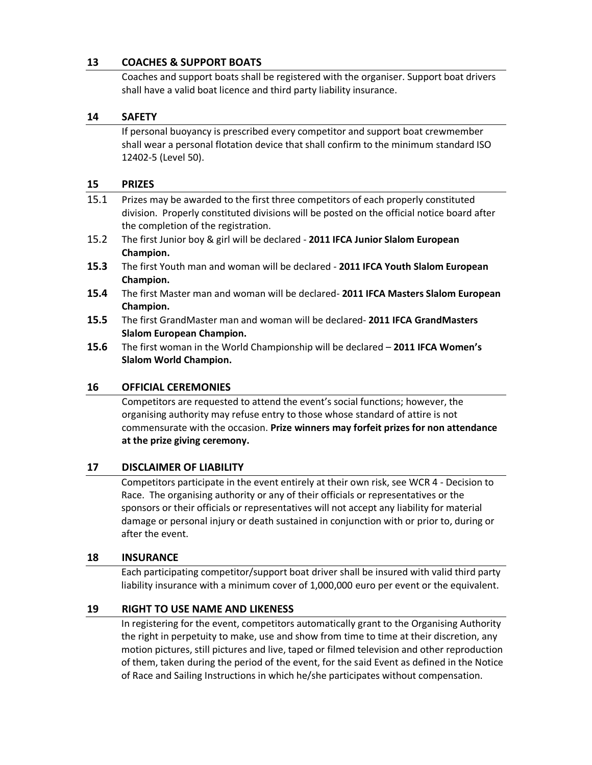# **13 COACHES & SUPPORT BOATS**

Coaches and support boats shall be registered with the organiser. Support boat drivers shall have a valid boat licence and third party liability insurance.

#### **14 SAFETY**

If personal buoyancy is prescribed every competitor and support boat crewmember shall wear a personal flotation device that shall confirm to the minimum standard ISO 12402-5 (Level 50).

#### **15 PRIZES**

| 15.1 | Prizes may be awarded to the first three competitors of each properly constituted          |  |  |
|------|--------------------------------------------------------------------------------------------|--|--|
|      | division. Properly constituted divisions will be posted on the official notice board after |  |  |
|      | the completion of the registration.                                                        |  |  |
| 15.2 | The first Junior boy & girl will be declared - 2011 IFCA Junior Slalom European            |  |  |
|      | Champion.                                                                                  |  |  |

- **15.3** The first Youth man and woman will be declared **2011 IFCA Youth Slalom European Champion.**
- **15.4** The first Master man and woman will be declared- **2011 IFCA Masters Slalom European Champion.**
- **15.5** The first GrandMaster man and woman will be declared- **2011 IFCA GrandMasters Slalom European Champion.**
- **15.6** The first woman in the World Championship will be declared **2011 IFCA Women's Slalom World Champion.**

#### **16 OFFICIAL CEREMONIES**

Competitors are requested to attend the event's social functions; however, the organising authority may refuse entry to those whose standard of attire is not commensurate with the occasion. **Prize winners may forfeit prizes for non attendance at the prize giving ceremony.**

# **17 DISCLAIMER OF LIABILITY**

Competitors participate in the event entirely at their own risk, see WCR 4 - Decision to Race. The organising authority or any of their officials or representatives or the sponsors or their officials or representatives will not accept any liability for material damage or personal injury or death sustained in conjunction with or prior to, during or after the event.

#### **18 INSURANCE**

Each participating competitor/support boat driver shall be insured with valid third party liability insurance with a minimum cover of 1,000,000 euro per event or the equivalent.

#### **19 RIGHT TO USE NAME AND LIKENESS**

In registering for the event, competitors automatically grant to the Organising Authority the right in perpetuity to make, use and show from time to time at their discretion, any motion pictures, still pictures and live, taped or filmed television and other reproduction of them, taken during the period of the event, for the said Event as defined in the Notice of Race and Sailing Instructions in which he/she participates without compensation.